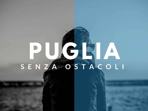# **PUGLIA** S E N ZA OSTACOLI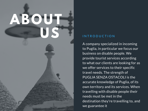# **ABOUT US**

#### INTRODUCTION

A company specialized in incoming to Puglia, in particular we focus our business on disable people. We provide tourist services according to what our clients are looking for as we offer services to their specific travel needs. The strength of PUGLIA SENZA OSTACOLI is the accurate knowledge of Puglia, of its own territory and its services. When travelling with disable people their needs must be met in the destination they're travelling to, and we guarantee it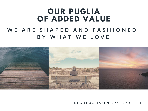### **OUR PUGLIA OF ADDED VALUE**

#### WE ARE SHAPED AND FASHIONED **B Y W H A T W E L O V E**



I N F O @ P U G L I A S E N Z A O S T A C O L I . I T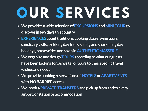# **OUR SERVICES**

- **We provides a wide selection of EXCURSIONS and MINI TOUR to discover in few days this country**
- **EXPERIENCES about traditions, cooking classe, wine tours, sanctuary visits, trekking day tours, sailing and snorkelling day holidays, horses rides and so on in AUTHENTIC MASSERIE**
- **We organize and design TOURS according to what our guests have been looking for, as we tailor tours to their specific travel wishes and needs**
- **We provide booking reservations of HOTELS or APARTMENTS with NO BARRIER access**
- **We book a PRIVATE TRANSFERS and pick up from and to every airport, or station or accommodation**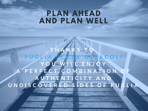#### **PLAN AHEAD AND PLAN WELL**

**T H A N K S T O GLIA SENZA OSTACO** YOU WILL ENJOY A P E R F E C T C O M B I N A T I O N **A U T H E N T I C I T Y A N D** U N D I S C O V E R E D S I D E S O F P U